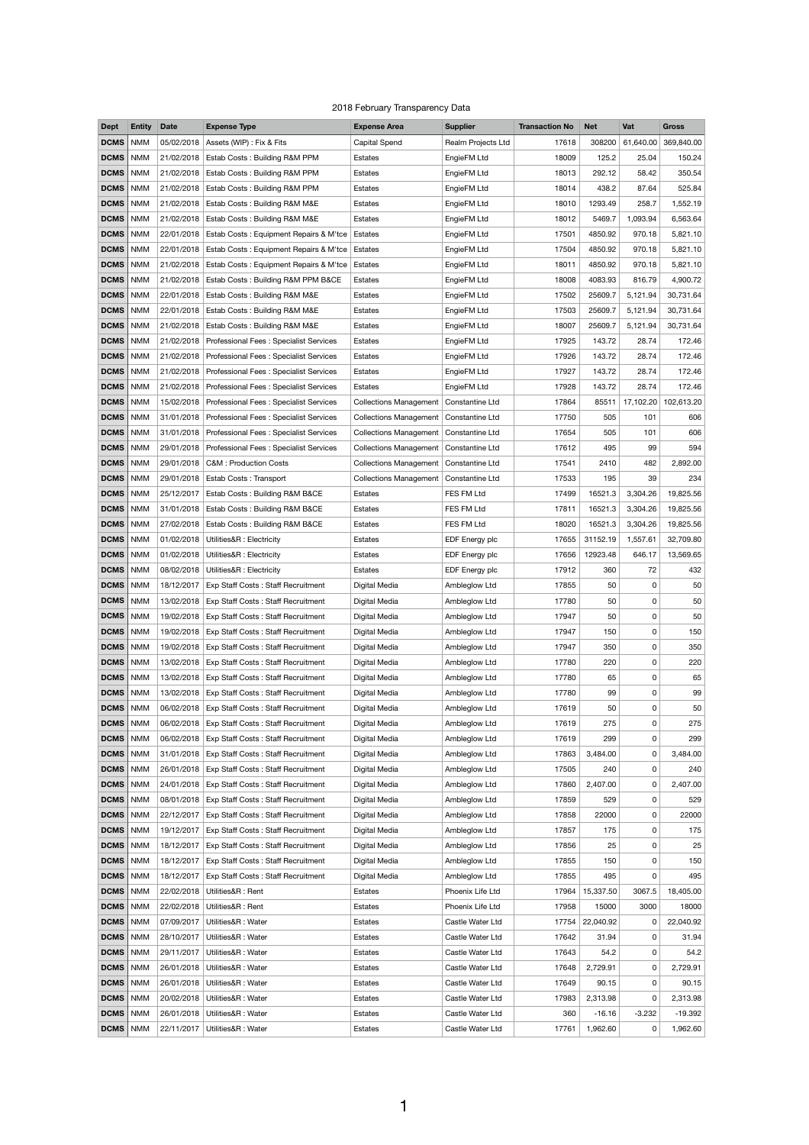## 2018 February Transparency Data

| <b>Dept</b>                | <b>Entity</b> | <b>Date</b> | <b>Expense Type</b>                                 | <b>Expense Area</b>                      | <b>Supplier</b>                      | <b>Transaction No</b> | <b>Net</b>           | Vat       | <b>Gross</b>          |
|----------------------------|---------------|-------------|-----------------------------------------------------|------------------------------------------|--------------------------------------|-----------------------|----------------------|-----------|-----------------------|
| <b>DCMS</b>                | <b>NMM</b>    | 05/02/2018  | Assets (WIP) : Fix & Fits                           | <b>Capital Spend</b>                     | Realm Projects Ltd                   | 17618                 | 308200               | 61,640.00 | 369,840.00            |
| <b>DCMS</b>                | <b>NMM</b>    | 21/02/2018  | Estab Costs: Building R&M PPM                       | <b>Estates</b>                           | EngieFM Ltd                          | 18009                 | 125.2                | 25.04     | 150.24                |
| <b>DCMS</b>                | <b>NMM</b>    | 21/02/2018  | Estab Costs: Building R&M PPM                       | Estates                                  | EngieFM Ltd                          | 18013                 | 292.12               | 58.42     | 350.54                |
| <b>DCMS</b>                | <b>NMM</b>    | 21/02/2018  | Estab Costs: Building R&M PPM                       | Estates                                  | EngieFM Ltd                          | 18014                 | 438.2                | 87.64     | 525.84                |
| <b>DCMS</b>                | <b>NMM</b>    | 21/02/2018  | <b>Estab Costs: Building R&amp;M M&amp;E</b>        | <b>Estates</b>                           | EngieFM Ltd                          | 18010                 | 1293.49              | 258.7     | 1,552.19              |
| <b>DCMS</b>                | <b>NMM</b>    | 21/02/2018  | Estab Costs: Building R&M M&E                       | Estates                                  | EngieFM Ltd                          | 18012                 | 5469.7               | 1,093.94  | 6,563.64              |
| <b>DCMS</b>                | <b>NMM</b>    | 22/01/2018  | Estab Costs: Equipment Repairs & M'tce              | Estates                                  | EngieFM Ltd                          | 17501                 | 4850.92              | 970.18    | 5,821.10              |
| <b>DCMS</b>                | <b>NMM</b>    |             | 22/01/2018   Estab Costs: Equipment Repairs & M'tce | Estates                                  | EngieFM Ltd                          | 17504                 | 4850.92              | 970.18    | 5,821.10              |
| <b>DCMS</b>                | <b>NMM</b>    | 21/02/2018  | Estab Costs: Equipment Repairs & M'tce              | Estates                                  | EngieFM Ltd                          | 18011                 | 4850.92              | 970.18    | 5,821.10              |
| <b>DCMS</b>                | <b>NMM</b>    | 21/02/2018  | Estab Costs: Building R&M PPM B&CE                  | Estates                                  | EngieFM Ltd                          | 18008                 | 4083.93              | 816.79    | 4,900.72              |
| <b>DCMS</b>                | <b>NMM</b>    |             | 22/01/2018   Estab Costs: Building R&M M&E          | <b>Estates</b>                           | EngieFM Ltd                          | 17502                 | 25609.7              | 5,121.94  | 30,731.64             |
| <b>DCMS</b>                | <b>NMM</b>    | 22/01/2018  | Estab Costs: Building R&M M&E                       | Estates                                  | EngieFM Ltd                          | 17503                 | 25609.7              | 5,121.94  | 30,731.64             |
| <b>DCMS</b>                | <b>NMM</b>    |             |                                                     |                                          | EngieFM Ltd                          | 18007                 | 25609.7              |           | 30,731.64             |
|                            |               | 21/02/2018  | Estab Costs: Building R&M M&E                       | Estates                                  |                                      |                       |                      | 5,121.94  |                       |
| <b>DCMS</b>                | <b>NMM</b>    |             | 21/02/2018   Professional Fees: Specialist Services | Estates                                  | EngieFM Ltd                          | 17925                 | 143.72               | 28.74     | 172.46                |
| <b>DCMS</b>                | <b>NMM</b>    | 21/02/2018  | Professional Fees: Specialist Services              | Estates                                  | EngieFM Ltd                          | 17926                 | 143.72               | 28.74     | 172.46                |
| <b>DCMS</b>                | <b>NMM</b>    |             | 21/02/2018 Professional Fees: Specialist Services   | Estates                                  | EngieFM Ltd                          | 17927                 | 143.72               | 28.74     | 172.46                |
| <b>DCMS</b>                | <b>NMM</b>    |             | 21/02/2018   Professional Fees: Specialist Services | Estates                                  | EngieFM Ltd                          | 17928                 | 143.72               | 28.74     | 172.46                |
| <b>DCMS</b>                | <b>NMM</b>    | 15/02/2018  | Professional Fees: Specialist Services              | <b>Collections Management</b>            | Constantine Ltd                      | 17864                 | 85511                | 17,102.20 | 102,613.20            |
| <b>DCMS</b>                | <b>NMM</b>    |             | 31/01/2018   Professional Fees: Specialist Services | <b>Collections Management</b>            | <b>Constantine Ltd</b>               | 17750                 | 505                  | 101       | 606                   |
| <b>DCMS</b>                | <b>NMM</b>    |             | 31/01/2018 Professional Fees: Specialist Services   | <b>Collections Management</b>            | Constantine Ltd                      | 17654                 | 505                  | 101       | 606                   |
| <b>DCMS</b>                | <b>NMM</b>    | 29/01/2018  | Professional Fees: Specialist Services              | <b>Collections Management</b>            | Constantine Ltd                      | 17612                 | 495                  | 99        | 594                   |
| <b>DCMS</b>                | <b>NMM</b>    |             | 29/01/2018   C&M : Production Costs                 | Collections Management   Constantine Ltd |                                      | 17541                 | 2410                 | 482       | 2,892.00              |
| <b>DCMS</b>                | <b>NMM</b>    |             | 29/01/2018   Estab Costs: Transport                 | <b>Collections Management</b>            | Constantine Ltd                      | 17533                 | 195                  | 39        | 234                   |
| <b>DCMS</b>                | <b>NMM</b>    | 25/12/2017  | Estab Costs: Building R&M B&CE                      | Estates                                  | FES FM Ltd                           | 17499                 | 16521.3              | 3,304.26  | 19,825.56             |
| <b>DCMS</b>                | <b>NMM</b>    | 31/01/2018  | <b>Estab Costs: Building R&amp;M B&amp;CE</b>       | <b>Estates</b>                           | FES FM Ltd                           | 17811                 | 16521.3              | 3,304.26  | 19,825.56             |
| <b>DCMS</b>                | <b>NMM</b>    | 27/02/2018  | <b>Estab Costs: Building R&amp;M B&amp;CE</b>       | Estates                                  | FES FM Ltd                           | 18020                 | 16521.3              | 3,304.26  | 19,825.56             |
| <b>DCMS</b>                | <b>NMM</b>    | 01/02/2018  | Utilities&R : Electricity                           | Estates                                  | EDF Energy plc                       | 17655                 | 31152.19             | 1,557.61  | 32,709.80             |
| <b>DCMS</b>                | <b>NMM</b>    | 01/02/2018  | Utilities&R: Electricity                            | <b>Estates</b>                           | EDF Energy plc                       | 17656                 | 12923.48             | 646.17    | 13,569.65             |
| <b>DCMS</b>                | <b>NMM</b>    | 08/02/2018  | Utilities&R : Electricity                           | Estates                                  | EDF Energy plc                       | 17912                 | 360                  | 72        | 432                   |
| <b>DCMS</b>                | <b>NMM</b>    | 18/12/2017  | Exp Staff Costs: Staff Recruitment                  | Digital Media                            | Ambleglow Ltd                        | 17855                 | 50                   | 0         | 50                    |
| <b>DCMS</b>                | <b>NMM</b>    | 13/02/2018  | <b>Exp Staff Costs: Staff Recruitment</b>           | Digital Media                            | Ambleglow Ltd                        | 17780                 | 50                   | 0         | 50                    |
| <b>DCMS</b>                | <b>NMM</b>    | 19/02/2018  | Exp Staff Costs: Staff Recruitment                  | Digital Media                            | Ambleglow Ltd                        | 17947                 | 50                   | 0         | 50                    |
| <b>DCMS</b>                | <b>NMM</b>    | 19/02/2018  | <b>Exp Staff Costs: Staff Recruitment</b>           | Digital Media                            | Ambleglow Ltd                        | 17947                 | 150                  | 0         | 150                   |
| <b>DCMS</b>                | <b>NMM</b>    |             | 19/02/2018   Exp Staff Costs: Staff Recruitment     | Digital Media                            | Ambleglow Ltd                        | 17947                 | 350                  | 0         | 350                   |
| <b>DCMS</b>                | <b>NMM</b>    | 13/02/2018  | Exp Staff Costs: Staff Recruitment                  |                                          |                                      | 17780                 | 220                  | 0         | 220                   |
| <b>DCMS</b>                | <b>NMM</b>    |             |                                                     | Digital Media                            | Ambleglow Ltd                        |                       |                      |           | 65                    |
|                            |               | 13/02/2018  | Exp Staff Costs: Staff Recruitment                  | Digital Media                            | Ambleglow Ltd                        | 17780                 | 65                   | 0         |                       |
| <b>DCMS</b>                | <b>NMM</b>    |             | 13/02/2018   Exp Staff Costs: Staff Recruitment     | Digital Media                            | Ambleglow Ltd                        | 17780                 | 99                   | 0         | 99                    |
| <b>DCMS</b>                | <b>NMM</b>    | 06/02/2018  | Exp Staff Costs: Staff Recruitment                  | Digital Media                            | Ambleglow Ltd                        | 17619                 | 50                   | 0         | 50                    |
| <b>DCMS</b>                | <b>NMM</b>    | 06/02/2018  | Exp Staff Costs: Staff Recruitment                  | Digital Media                            | Ambleglow Ltd                        | 17619                 | 275                  | 0         | 275                   |
| <b>DCMS</b>                | <b>NMM</b>    |             | 06/02/2018   Exp Staff Costs: Staff Recruitment     | Digital Media                            | Ambleglow Ltd                        | 17619                 | 299                  | 0         | 299                   |
| <b>DCMS</b>                | <b>NMM</b>    | 31/01/2018  | <b>Exp Staff Costs: Staff Recruitment</b>           | Digital Media                            | Ambleglow Ltd                        | 17863                 | 3,484.00             | 0         | 3,484.00              |
| <b>DCMS</b>                | <b>NMM</b>    | 26/01/2018  | Exp Staff Costs: Staff Recruitment                  | Digital Media                            | Ambleglow Ltd                        | 17505                 | 240                  | 0         | 240                   |
| DCMS                       | <b>NMM</b>    |             | 24/01/2018   Exp Staff Costs: Staff Recruitment     | Digital Media                            | Ambleglow Ltd                        | 17860                 | 2,407.00             | 0         | 2,407.00              |
| DCMS                       | <b>NMM</b>    |             | 08/01/2018   Exp Staff Costs: Staff Recruitment     | Digital Media                            | Ambleglow Ltd                        | 17859                 | 529                  | 0         | 529                   |
| <b>DCMS</b>                | <b>NMM</b>    | 22/12/2017  | Exp Staff Costs: Staff Recruitment                  | Digital Media                            | Ambleglow Ltd                        | 17858                 | 22000                | 0         | 22000                 |
| DCMS                       | <b>NMM</b>    | 19/12/2017  | Exp Staff Costs: Staff Recruitment                  | Digital Media                            | Ambleglow Ltd                        | 17857                 | 175                  | 0         | 175                   |
| <b>DCMS</b>                | <b>NMM</b>    | 18/12/2017  | Exp Staff Costs: Staff Recruitment                  | Digital Media                            | Ambleglow Ltd                        | 17856                 | 25                   | 0         | 25                    |
| <b>DCMS</b>                | <b>NMM</b>    | 18/12/2017  | Exp Staff Costs: Staff Recruitment                  | Digital Media                            | Ambleglow Ltd                        | 17855                 | 150                  | 0         | 150                   |
| DCMS                       | <b>NMM</b>    | 18/12/2017  | Exp Staff Costs: Staff Recruitment                  | Digital Media                            | Ambleglow Ltd                        | 17855                 | 495                  | 0         | 495                   |
| DCMS                       | <b>NMM</b>    | 22/02/2018  | Utilities&R: Rent                                   | Estates                                  | Phoenix Life Ltd                     | 17964                 | 15,337.50            | 3067.5    | 18,405.00             |
| <b>DCMS</b>                | <b>NMM</b>    | 22/02/2018  | Utilities&R: Rent                                   | Estates                                  | Phoenix Life Ltd                     | 17958                 | 15000                | 3000      | 18000                 |
| <b>DCMS</b>                | <b>NMM</b>    | 07/09/2017  | Utilities&R: Water                                  | Estates                                  | Castle Water Ltd                     | 17754                 | 22,040.92            | 0         | 22,040.92             |
| DCMS                       | <b>NMM</b>    | 28/10/2017  | Utilities&R: Water                                  | Estates                                  | Castle Water Ltd                     | 17642                 | 31.94                | 0         | 31.94                 |
| <b>DCMS</b>                | <b>NMM</b>    | 29/11/2017  | Utilities&R: Water                                  | Estates                                  | Castle Water Ltd                     | 17643                 | 54.2                 | 0         | 54.2                  |
| <b>DCMS</b>                | <b>NMM</b>    | 26/01/2018  | Utilities&R: Water                                  | Estates                                  | Castle Water Ltd                     | 17648                 | 2,729.91             | 0         | 2,729.91              |
| DCMS                       |               |             |                                                     |                                          |                                      | 17649                 | 90.15                | 0         | 90.15                 |
|                            | <b>NMM</b>    | 26/01/2018  | Utilities&R: Water                                  | Estates                                  | Castle Water Ltd                     |                       |                      |           |                       |
|                            | <b>NMM</b>    | 20/02/2018  | Utilities&R: Water                                  | Estates                                  |                                      | 17983                 |                      | 0         |                       |
| <b>DCMS</b><br><b>DCMS</b> | <b>NMM</b>    | 26/01/2018  | Utilities&R: Water                                  | Estates                                  | Castle Water Ltd<br>Castle Water Ltd | 360                   | 2,313.98<br>$-16.16$ | $-3.232$  | 2,313.98<br>$-19.392$ |